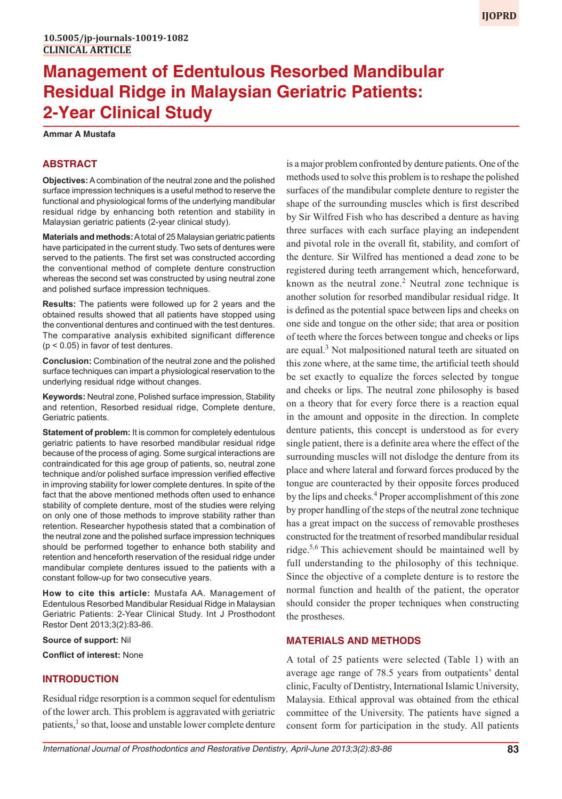# **Management of Edentulous Resorbed Mandibular Residual Ridge in Malaysian Geriatric Patients: 2-Year Clinical Study**

**Ammar A Mustafa**

# **ABSTRACT**

**Objectives:** A combination of the neutral zone and the polished surface impression techniques is a useful method to reserve the functional and physiological forms of the underlying mandibular residual ridge by enhancing both retention and stability in Malaysian geriatric patients (2-year clinical study).

**Materials and methods:** A total of 25 Malaysian geriatric patients have participated in the current study. Two sets of dentures were served to the patients. The first set was constructed according the conventional method of complete denture construction whereas the second set was constructed by using neutral zone and polished surface impression techniques.

**Results:** The patients were followed up for 2 years and the obtained results showed that all patients have stopped using the conventional dentures and continued with the test dentures. The comparative analysis exhibited significant difference (p < 0.05) in favor of test dentures.

**Conclusion:** Combination of the neutral zone and the polished surface techniques can impart a physiological reservation to the underlying residual ridge without changes.

**Keywords:** Neutral zone, Polished surface impression, Stability and retention, Resorbed residual ridge, Complete denture, Geriatric patients.

**Statement of problem:** It is common for completely edentulous geriatric patients to have resorbed mandibular residual ridge because of the process of aging. Some surgical interactions are contraindicated for this age group of patients, so, neutral zone technique and/or polished surface impression verified effective in improving stability for lower complete dentures. In spite of the fact that the above mentioned methods often used to enhance stability of complete denture, most of the studies were relying on only one of those methods to improve stability rather than retention. Researcher hypothesis stated that a combination of the neutral zone and the polished surface impression techniques should be performed together to enhance both stability and retention and henceforth reservation of the residual ridge under mandibular complete dentures issued to the patients with a constant follow-up for two consecutive years.

**How to cite this article:** Mustafa AA. Management of Edentulous Resorbed Mandibular Residual Ridge in Malaysian Geriatric Patients: 2-Year Clinical Study. Int J Prosthodont Restor Dent 2013;3(2):83-86.

**Source of support:** Nil

**Conflict of interest:** None

# **INTRODUCTION**

Residual ridge resorption is a common sequel for edentulism of the lower arch. This problem is aggravated with geriatric patients,<sup>1</sup> so that, loose and unstable lower complete denture is a major problem confronted by denture patients. One of the methods used to solve this problem is to reshape the polished surfaces of the mandibular complete denture to register the shape of the surrounding muscles which is first described by Sir Wilfred Fish who has described a denture as having three surfaces with each surface playing an independent and pivotal role in the overall fit, stability, and comfort of the denture. Sir Wilfred has mentioned a dead zone to be registered during teeth arrangement which, henceforward, known as the neutral zone.<sup>2</sup> Neutral zone technique is another solution for resorbed mandibular residual ridge. It is defined as the potential space between lips and cheeks on one side and tongue on the other side; that area or position of teeth where the forces between tongue and cheeks or lips are equal.<sup>3</sup> Not malpositioned natural teeth are situated on this zone where, at the same time, the artificial teeth should be set exactly to equalize the forces selected by tongue and cheeks or lips. The neutral zone philosophy is based on a theory that for every force there is a reaction equal in the amount and opposite in the direction. In complete denture patients, this concept is understood as for every single patient, there is a definite area where the effect of the surrounding muscles will not dislodge the denture from its place and where lateral and forward forces produced by the tongue are counteracted by their opposite forces produced by the lips and cheeks.<sup>4</sup> Proper accomplishment of this zone by proper handling of the steps of the neutral zone technique has a great impact on the success of removable prostheses constructed for the treatment of resorbed mandibular residual ridge.<sup>5,6</sup> This achievement should be maintained well by full understanding to the philosophy of this technique. Since the objective of a complete denture is to restore the normal function and health of the patient, the operator should consider the proper techniques when constructing the prostheses.

# **MATERIALS AND METHODS**

A total of 25 patients were selected (Table 1) with an average age range of 78.5 years from outpatients' dental clinic, Faculty of Dentistry, International Islamic University, Malaysia. Ethical approval was obtained from the ethical committee of the University. The patients have signed a consent form for participation in the study. All patients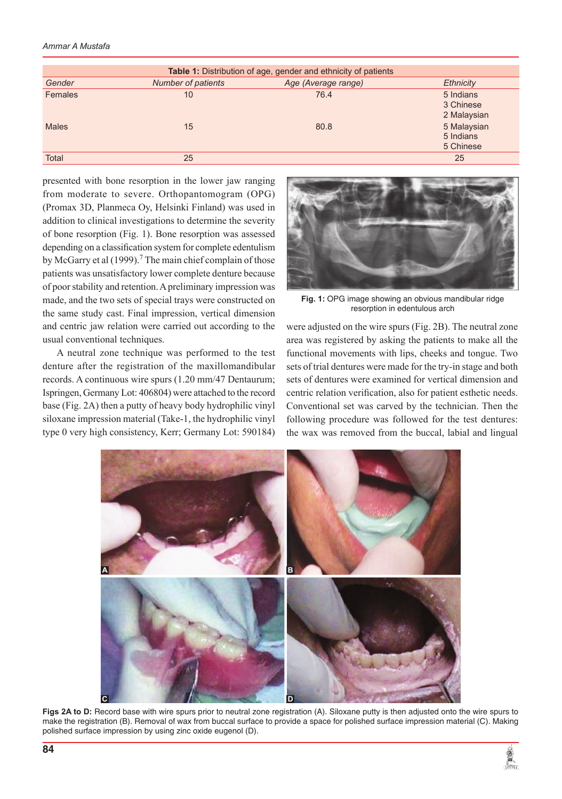#### *Ammar A Mustafa*

| Table 1: Distribution of age, gender and ethnicity of patients |                    |                     |                                       |  |  |  |  |
|----------------------------------------------------------------|--------------------|---------------------|---------------------------------------|--|--|--|--|
| Gender                                                         | Number of patients | Age (Average range) | <b>Ethnicity</b>                      |  |  |  |  |
| Females                                                        | 10                 | 76.4                | 5 Indians<br>3 Chinese<br>2 Malaysian |  |  |  |  |
| <b>Males</b>                                                   | 15                 | 80.8                | 5 Malaysian<br>5 Indians<br>5 Chinese |  |  |  |  |
| Total                                                          | 25                 |                     | 25                                    |  |  |  |  |

presented with bone resorption in the lower jaw ranging from moderate to severe. Orthopantomogram (OPG) (Promax 3D, Planmeca Oy, Helsinki Finland) was used in addition to clinical investigations to determine the severity of bone resorption (Fig. 1). Bone resorption was assessed depending on a classification system for complete edentulism by McGarry et al (1999).<sup>7</sup> The main chief complain of those patients was unsatisfactory lower complete denture because of poor stability and retention. A preliminary impression was made, and the two sets of special trays were constructed on the same study cast. Final impression, vertical dimension and centric jaw relation were carried out according to the usual conventional techniques.

A neutral zone technique was performed to the test denture after the registration of the maxillomandibular records. A continuous wire spurs (1.20 mm/47 Dentaurum; Ispringen, Germany Lot: 406804) were attached to the record base (Fig. 2A) then a putty of heavy body hydrophilic vinyl siloxane impression material (Take-1, the hydrophilic vinyl type 0 very high consistency, Kerr; Germany Lot: 590184)



**Fig. 1:** OPG image showing an obvious mandibular ridge resorption in edentulous arch

were adjusted on the wire spurs (Fig. 2B). The neutral zone area was registered by asking the patients to make all the functional movements with lips, cheeks and tongue. Two sets of trial dentures were made for the try-in stage and both sets of dentures were examined for vertical dimension and centric relation verification, also for patient esthetic needs. Conventional set was carved by the technician. Then the following procedure was followed for the test dentures: the wax was removed from the buccal, labial and lingual



**Figs 2A to D:** Record base with wire spurs prior to neutral zone registration (A). Siloxane putty is then adjusted onto the wire spurs to make the registration (B). Removal of wax from buccal surface to provide a space for polished surface impression material (C). Making polished surface impression by using zinc oxide eugenol (D).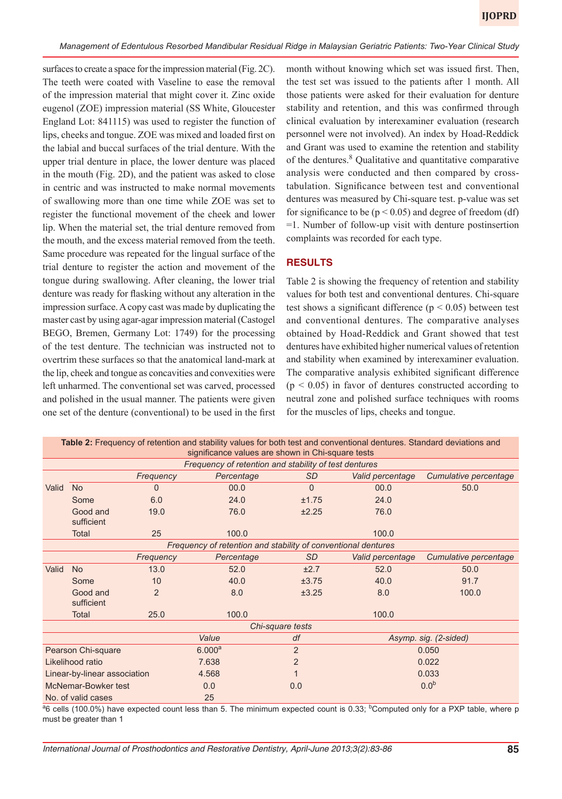surfaces to create a space for the impression material (Fig. 2C). The teeth were coated with Vaseline to ease the removal of the impression material that might cover it. Zinc oxide eugenol (ZOE) impression material (SS White, Gloucester England Lot: 841115) was used to register the function of lips, cheeks and tongue. ZOE was mixed and loaded first on the labial and buccal surfaces of the trial denture. With the upper trial denture in place, the lower denture was placed in the mouth (Fig. 2D), and the patient was asked to close in centric and was instructed to make normal movements of swallowing more than one time while ZOE was set to register the functional movement of the cheek and lower lip. When the material set, the trial denture removed from the mouth, and the excess material removed from the teeth. Same procedure was repeated for the lingual surface of the trial denture to register the action and movement of the tongue during swallowing. After cleaning, the lower trial denture was ready for flasking without any alteration in the impression surface. A copy cast was made by duplicating the master cast by using agar-agar impression material (Castogel BEGO, Bremen, Germany Lot: 1749) for the processing of the test denture. The technician was instructed not to overtrim these surfaces so that the anatomical land-mark at the lip, cheek and tongue as concavities and convexities were left unharmed. The conventional set was carved, processed and polished in the usual manner. The patients were given one set of the denture (conventional) to be used in the first

month without knowing which set was issued first. Then, the test set was issued to the patients after 1 month. All those patients were asked for their evaluation for denture stability and retention, and this was confirmed through clinical evaluation by interexaminer evaluation (research personnel were not involved). An index by Hoad-Reddick and Grant was used to examine the retention and stability of the dentures.<sup>8</sup> Qualitative and quantitative comparative analysis were conducted and then compared by crosstabulation. Significance between test and conventional dentures was measured by Chi-square test. p-value was set for significance to be ( $p < 0.05$ ) and degree of freedom (df) =1. Number of follow-up visit with denture postinsertion complaints was recorded for each type.

## **RESULTS**

Table 2 is showing the frequency of retention and stability values for both test and conventional dentures. Chi-square test shows a significant difference ( $p < 0.05$ ) between test and conventional dentures. The comparative analyses obtained by Hoad-Reddick and Grant showed that test dentures have exhibited higher numerical values of retention and stability when examined by interexaminer evaluation. The comparative analysis exhibited significant difference  $(p < 0.05)$  in favor of dentures constructed according to neutral zone and polished surface techniques with rooms for the muscles of lips, cheeks and tongue.

| Table 2: Frequency of retention and stability values for both test and conventional dentures. Standard deviations and<br>significance values are shown in Chi-square tests |                        |                    |                |                  |                       |                       |  |  |
|----------------------------------------------------------------------------------------------------------------------------------------------------------------------------|------------------------|--------------------|----------------|------------------|-----------------------|-----------------------|--|--|
| Frequency of retention and stability of test dentures                                                                                                                      |                        |                    |                |                  |                       |                       |  |  |
|                                                                                                                                                                            |                        | Frequency          | Percentage     | <b>SD</b>        | Valid percentage      | Cumulative percentage |  |  |
| Valid                                                                                                                                                                      | <b>No</b>              | $\Omega$           | 00.0           | $\Omega$         | 00.0                  | 50.0                  |  |  |
|                                                                                                                                                                            | Some                   | 6.0                | 24.0           | ±1.75            | 24.0                  |                       |  |  |
|                                                                                                                                                                            | Good and<br>sufficient | 19.0               | 76.0           | ±2.25            | 76.0                  |                       |  |  |
|                                                                                                                                                                            | Total                  | 25                 | 100.0          |                  | 100.0                 |                       |  |  |
| Frequency of retention and stability of conventional dentures                                                                                                              |                        |                    |                |                  |                       |                       |  |  |
|                                                                                                                                                                            |                        | Frequency          | Percentage     | SD.              | Valid percentage      | Cumulative percentage |  |  |
| Valid                                                                                                                                                                      | <b>No</b>              | 13.0               | 52.0           | ±2.7             | 52.0                  | 50.0                  |  |  |
|                                                                                                                                                                            | Some                   | 10                 | 40.0           | ±3.75            | 40.0                  | 91.7                  |  |  |
|                                                                                                                                                                            | Good and<br>sufficient | $\overline{2}$     | 8.0            | ±3.25            | 8.0                   | 100.0                 |  |  |
|                                                                                                                                                                            | Total                  | 25.0               | 100.0          |                  | 100.0                 |                       |  |  |
| Chi-square tests                                                                                                                                                           |                        |                    |                |                  |                       |                       |  |  |
|                                                                                                                                                                            |                        |                    | Value          | df               | Asymp. sig. (2-sided) |                       |  |  |
| Pearson Chi-square                                                                                                                                                         |                        | 6.000 <sup>a</sup> | $\overline{2}$ | 0.050            |                       |                       |  |  |
| Likelihood ratio                                                                                                                                                           |                        | 7.638              | $\overline{2}$ | 0.022            |                       |                       |  |  |
| Linear-by-linear association                                                                                                                                               |                        | 4.568              |                | 0.033            |                       |                       |  |  |
| McNemar-Bowker test                                                                                                                                                        |                        | 0.0                | 0.0            | 0.0 <sup>b</sup> |                       |                       |  |  |
| No. of valid cases                                                                                                                                                         |                        |                    | 25             |                  |                       |                       |  |  |

**Table 2:** Frequency of retention and stability values for both test and conventional dentures. Standard deviations and

<sup>a</sup>6 cells (100.0%) have expected count less than 5. The minimum expected count is 0.33; <sup>b</sup>Computed only for a PXP table, where p must be greater than 1